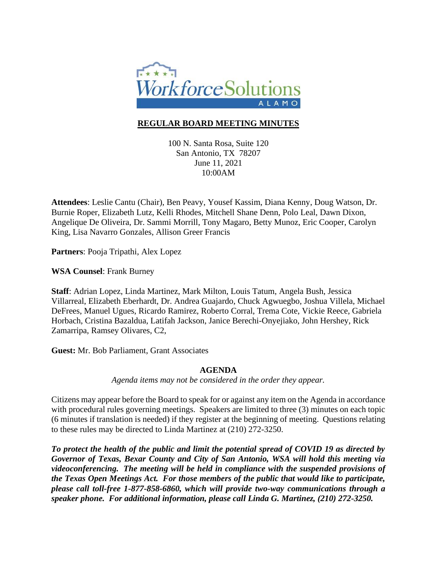

### **REGULAR BOARD MEETING MINUTES**

100 N. Santa Rosa, Suite 120 San Antonio, TX 78207 June 11, 2021 10:00AM

**Attendees**: Leslie Cantu (Chair), Ben Peavy, Yousef Kassim, Diana Kenny, Doug Watson, Dr. Burnie Roper, Elizabeth Lutz, Kelli Rhodes, Mitchell Shane Denn, Polo Leal, Dawn Dixon, Angelique De Oliveira, Dr. Sammi Morrill, Tony Magaro, Betty Munoz, Eric Cooper, Carolyn King, Lisa Navarro Gonzales, Allison Greer Francis

**Partners**: Pooja Tripathi, Alex Lopez

**WSA Counsel**: Frank Burney

**Staff**: Adrian Lopez, Linda Martinez, Mark Milton, Louis Tatum, Angela Bush, Jessica Villarreal, Elizabeth Eberhardt, Dr. Andrea Guajardo, Chuck Agwuegbo, Joshua Villela, Michael DeFrees, Manuel Ugues, Ricardo Ramirez, Roberto Corral, Trema Cote, Vickie Reece, Gabriela Horbach, Cristina Bazaldua, Latifah Jackson, Janice Berechi-Onyejiako, John Hershey, Rick Zamarripa, Ramsey Olivares, C2,

**Guest:** Mr. Bob Parliament, Grant Associates

#### **AGENDA**

*Agenda items may not be considered in the order they appear.*

Citizens may appear before the Board to speak for or against any item on the Agenda in accordance with procedural rules governing meetings. Speakers are limited to three (3) minutes on each topic (6 minutes if translation is needed) if they register at the beginning of meeting. Questions relating to these rules may be directed to Linda Martinez at (210) 272-3250.

*To protect the health of the public and limit the potential spread of COVID 19 as directed by Governor of Texas, Bexar County and City of San Antonio, WSA will hold this meeting via videoconferencing. The meeting will be held in compliance with the suspended provisions of the Texas Open Meetings Act. For those members of the public that would like to participate, please call toll-free 1-877-858-6860, which will provide two-way communications through a speaker phone. For additional information, please call Linda G. Martinez, (210) 272-3250.*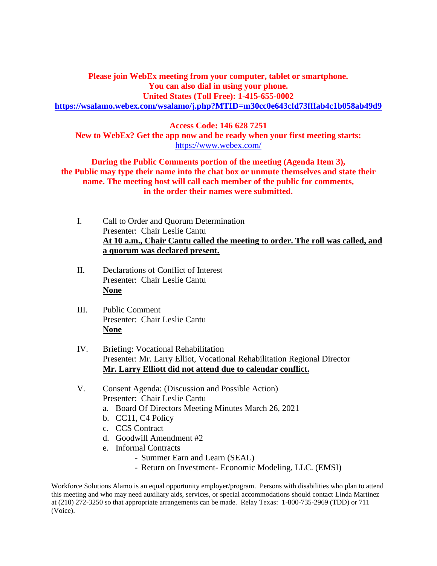**Please join WebEx meeting from your computer, tablet or smartphone. You can also dial in using your phone. United States (Toll Free): 1-415-655-0002 <https://wsalamo.webex.com/wsalamo/j.php?MTID=m30cc0e643cfd73fffab4c1b058ab49d9>**

**Access Code: 146 628 7251 New to WebEx? Get the app now and be ready when your first meeting starts:**  <https://www.webex.com/>

**During the Public Comments portion of the meeting (Agenda Item 3), the Public may type their name into the chat box or unmute themselves and state their name. The meeting host will call each member of the public for comments, in the order their names were submitted.**

- I. Call to Order and Quorum Determination Presenter: Chair Leslie Cantu **At 10 a.m., Chair Cantu called the meeting to order. The roll was called, and a quorum was declared present.**
- II. Declarations of Conflict of Interest Presenter: Chair Leslie Cantu **None**
- III. Public Comment Presenter: Chair Leslie Cantu **None**
- IV. Briefing: Vocational Rehabilitation Presenter: Mr. Larry Elliot, Vocational Rehabilitation Regional Director **Mr. Larry Elliott did not attend due to calendar conflict.**
- V. Consent Agenda: (Discussion and Possible Action) Presenter: Chair Leslie Cantu
	- a. Board Of Directors Meeting Minutes March 26, 2021
	- b. CC11, C4 Policy
	- c. CCS Contract
	- d. Goodwill Amendment #2
	- e. Informal Contracts
		- Summer Earn and Learn (SEAL)
			- Return on Investment- Economic Modeling, LLC. (EMSI)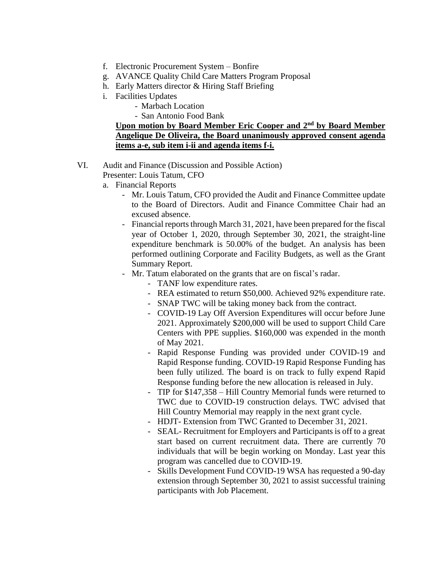- f. Electronic Procurement System Bonfire
- g. AVANCE Quality Child Care Matters Program Proposal
- h. Early Matters director & Hiring Staff Briefing
- i. Facilities Updates
	- Marbach Location
	- San Antonio Food Bank

#### Upon motion by Board Member Eric Cooper and 2<sup>nd</sup> by Board Member **Angelique De Oliveira, the Board unanimously approved consent agenda items a-e, sub item i-ii and agenda items f-i.**

- VI. Audit and Finance (Discussion and Possible Action)
	- Presenter: Louis Tatum, CFO
	- a. Financial Reports
		- Mr. Louis Tatum, CFO provided the Audit and Finance Committee update to the Board of Directors. Audit and Finance Committee Chair had an excused absence.
		- Financial reports through March 31, 2021, have been prepared for the fiscal year of October 1, 2020, through September 30, 2021, the straight-line expenditure benchmark is 50.00% of the budget. An analysis has been performed outlining Corporate and Facility Budgets, as well as the Grant Summary Report.
		- Mr. Tatum elaborated on the grants that are on fiscal's radar.
			- TANF low expenditure rates.
			- REA estimated to return \$50,000. Achieved 92% expenditure rate.
			- SNAP TWC will be taking money back from the contract.
			- COVID-19 Lay Off Aversion Expenditures will occur before June 2021. Approximately \$200,000 will be used to support Child Care Centers with PPE supplies. \$160,000 was expended in the month of May 2021.
			- Rapid Response Funding was provided under COVID-19 and Rapid Response funding. COVID-19 Rapid Response Funding has been fully utilized. The board is on track to fully expend Rapid Response funding before the new allocation is released in July.
			- TIP for \$147,358 Hill Country Memorial funds were returned to TWC due to COVID-19 construction delays. TWC advised that Hill Country Memorial may reapply in the next grant cycle.
			- HDJT- Extension from TWC Granted to December 31, 2021.
			- SEAL- Recruitment for Employers and Participants is off to a great start based on current recruitment data. There are currently 70 individuals that will be begin working on Monday. Last year this program was cancelled due to COVID-19.
			- Skills Development Fund COVID-19 WSA has requested a 90-day extension through September 30, 2021 to assist successful training participants with Job Placement.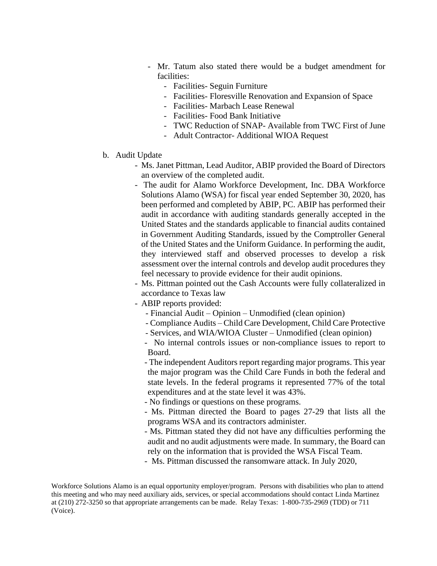- Mr. Tatum also stated there would be a budget amendment for facilities:
	- Facilities- Seguin Furniture
	- Facilities- Floresville Renovation and Expansion of Space
	- Facilities- Marbach Lease Renewal
	- Facilities- Food Bank Initiative
	- TWC Reduction of SNAP- Available from TWC First of June
	- Adult Contractor- Additional WIOA Request
- b. Audit Update
	- Ms. Janet Pittman, Lead Auditor, ABIP provided the Board of Directors an overview of the completed audit.
	- The audit for Alamo Workforce Development, Inc. DBA Workforce Solutions Alamo (WSA) for fiscal year ended September 30, 2020, has been performed and completed by ABIP, PC. ABIP has performed their audit in accordance with auditing standards generally accepted in the United States and the standards applicable to financial audits contained in Government Auditing Standards, issued by the Comptroller General of the United States and the Uniform Guidance. In performing the audit, they interviewed staff and observed processes to develop a risk assessment over the internal controls and develop audit procedures they feel necessary to provide evidence for their audit opinions.
	- Ms. Pittman pointed out the Cash Accounts were fully collateralized in accordance to Texas law
	- ABIP reports provided:
		- Financial Audit Opinion Unmodified (clean opinion)
		- Compliance Audits Child Care Development, Child Care Protective
		- Services, and WIA/WIOA Cluster Unmodified (clean opinion)
		- No internal controls issues or non-compliance issues to report to Board.
		- The independent Auditors report regarding major programs. This year the major program was the Child Care Funds in both the federal and state levels. In the federal programs it represented 77% of the total expenditures and at the state level it was 43%.
		- No findings or questions on these programs.
		- Ms. Pittman directed the Board to pages 27-29 that lists all the programs WSA and its contractors administer.
		- Ms. Pittman stated they did not have any difficulties performing the audit and no audit adjustments were made. In summary, the Board can rely on the information that is provided the WSA Fiscal Team.

- Ms. Pittman discussed the ransomware attack. In July 2020,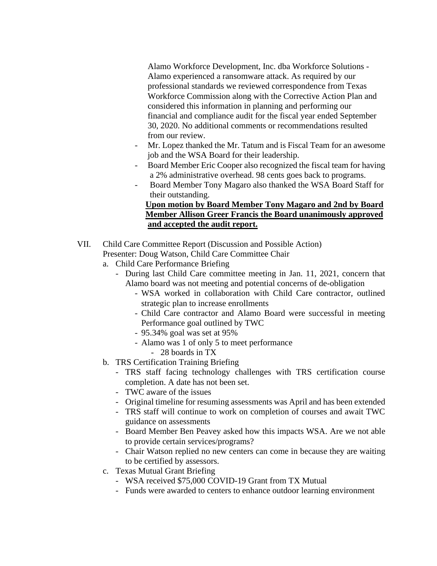Alamo Workforce Development, Inc. dba Workforce Solutions - Alamo experienced a ransomware attack. As required by our professional standards we reviewed correspondence from Texas Workforce Commission along with the Corrective Action Plan and considered this information in planning and performing our financial and compliance audit for the fiscal year ended September 30, 2020. No additional comments or recommendations resulted from our review.

- Mr. Lopez thanked the Mr. Tatum and is Fiscal Team for an awesome job and the WSA Board for their leadership.
- Board Member Eric Cooper also recognized the fiscal team for having a 2% administrative overhead. 98 cents goes back to programs.
- Board Member Tony Magaro also thanked the WSA Board Staff for their outstanding.

### **Upon motion by Board Member Tony Magaro and 2nd by Board Member Allison Greer Francis the Board unanimously approved and accepted the audit report.**

- VII. Child Care Committee Report (Discussion and Possible Action) Presenter: Doug Watson, Child Care Committee Chair
	- a. Child Care Performance Briefing
		- During last Child Care committee meeting in Jan. 11, 2021, concern that Alamo board was not meeting and potential concerns of de-obligation
			- WSA worked in collaboration with Child Care contractor, outlined strategic plan to increase enrollments
			- Child Care contractor and Alamo Board were successful in meeting Performance goal outlined by TWC
			- 95.34% goal was set at 95%
			- Alamo was 1 of only 5 to meet performance
				- 28 boards in TX
	- b. TRS Certification Training Briefing
		- TRS staff facing technology challenges with TRS certification course completion. A date has not been set.
		- TWC aware of the issues
		- Original timeline for resuming assessments was April and has been extended
		- TRS staff will continue to work on completion of courses and await TWC guidance on assessments
		- Board Member Ben Peavey asked how this impacts WSA. Are we not able to provide certain services/programs?
		- Chair Watson replied no new centers can come in because they are waiting to be certified by assessors.
	- c. Texas Mutual Grant Briefing
		- WSA received \$75,000 COVID-19 Grant from TX Mutual
		- Funds were awarded to centers to enhance outdoor learning environment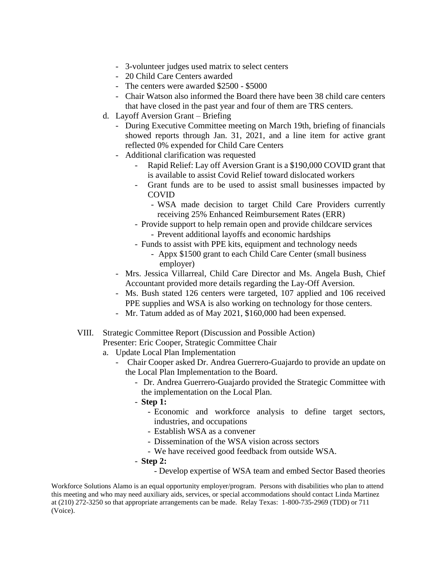- 3-volunteer judges used matrix to select centers
- 20 Child Care Centers awarded
- The centers were awarded \$2500 \$5000
- Chair Watson also informed the Board there have been 38 child care centers that have closed in the past year and four of them are TRS centers.
- d. Layoff Aversion Grant Briefing
	- During Executive Committee meeting on March 19th, briefing of financials showed reports through Jan. 31, 2021, and a line item for active grant reflected 0% expended for Child Care Centers
	- Additional clarification was requested
		- Rapid Relief: Lay off Aversion Grant is a \$190,000 COVID grant that is available to assist Covid Relief toward dislocated workers
		- Grant funds are to be used to assist small businesses impacted by COVID
			- WSA made decision to target Child Care Providers currently receiving 25% Enhanced Reimbursement Rates (ERR)
		- Provide support to help remain open and provide childcare services - Prevent additional layoffs and economic hardships
		- Funds to assist with PPE kits, equipment and technology needs - Appx \$1500 grant to each Child Care Center (small business
			- employer)
	- Mrs. Jessica Villarreal, Child Care Director and Ms. Angela Bush, Chief Accountant provided more details regarding the Lay-Off Aversion.
	- Ms. Bush stated 126 centers were targeted, 107 applied and 106 received PPE supplies and WSA is also working on technology for those centers.
	- Mr. Tatum added as of May 2021, \$160,000 had been expensed.
- VIII. Strategic Committee Report (Discussion and Possible Action)

Presenter: Eric Cooper, Strategic Committee Chair

- a. Update Local Plan Implementation
	- Chair Cooper asked Dr. Andrea Guerrero-Guajardo to provide an update on the Local Plan Implementation to the Board.
		- Dr. Andrea Guerrero-Guajardo provided the Strategic Committee with the implementation on the Local Plan.
		- **Step 1:**
			- Economic and workforce analysis to define target sectors, industries, and occupations
			- Establish WSA as a convener
			- Dissemination of the WSA vision across sectors
			- We have received good feedback from outside WSA.
		- **Step 2:** 
			- Develop expertise of WSA team and embed Sector Based theories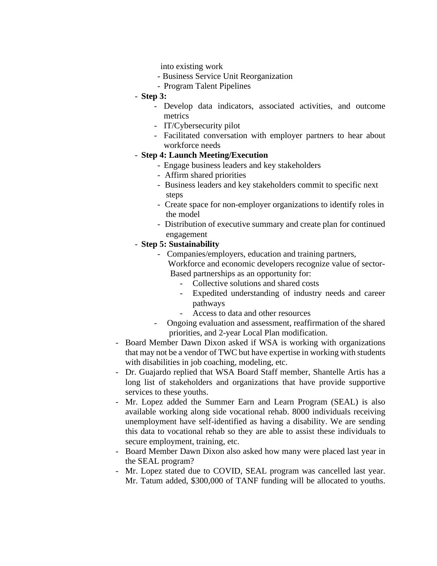into existing work

- Business Service Unit Reorganization
- Program Talent Pipelines
- **Step 3:**
	- Develop data indicators, associated activities, and outcome metrics
	- IT/Cybersecurity pilot
	- Facilitated conversation with employer partners to hear about workforce needs
- **Step 4: Launch Meeting/Execution**
	- Engage business leaders and key stakeholders
	- Affirm shared priorities
	- Business leaders and key stakeholders commit to specific next steps
	- Create space for non-employer organizations to identify roles in the model
	- Distribution of executive summary and create plan for continued engagement

### - **Step 5: Sustainability**

- Companies/employers, education and training partners,

 Workforce and economic developers recognize value of sector- Based partnerships as an opportunity for:

- Collective solutions and shared costs
- Expedited understanding of industry needs and career pathways
- Access to data and other resources
- Ongoing evaluation and assessment, reaffirmation of the shared priorities, and 2-year Local Plan modification.
- Board Member Dawn Dixon asked if WSA is working with organizations that may not be a vendor of TWC but have expertise in working with students with disabilities in job coaching, modeling, etc.
- Dr. Guajardo replied that WSA Board Staff member, Shantelle Artis has a long list of stakeholders and organizations that have provide supportive services to these youths.
- Mr. Lopez added the Summer Earn and Learn Program (SEAL) is also available working along side vocational rehab. 8000 individuals receiving unemployment have self-identified as having a disability. We are sending this data to vocational rehab so they are able to assist these individuals to secure employment, training, etc.
- Board Member Dawn Dixon also asked how many were placed last year in the SEAL program?
- Mr. Lopez stated due to COVID, SEAL program was cancelled last year. Mr. Tatum added, \$300,000 of TANF funding will be allocated to youths.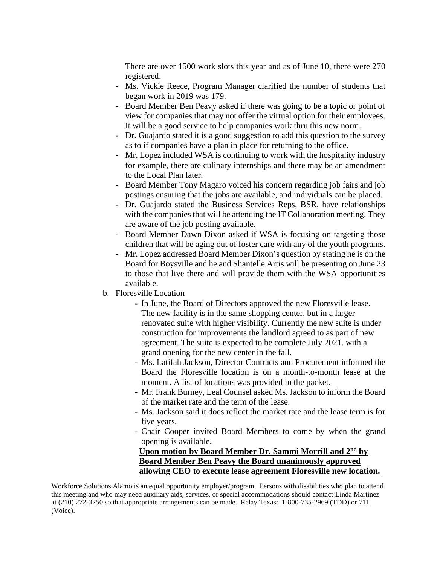There are over 1500 work slots this year and as of June 10, there were 270 registered.

- Ms. Vickie Reece, Program Manager clarified the number of students that began work in 2019 was 179.
- Board Member Ben Peavy asked if there was going to be a topic or point of view for companies that may not offer the virtual option for their employees. It will be a good service to help companies work thru this new norm.
- Dr. Guajardo stated it is a good suggestion to add this question to the survey as to if companies have a plan in place for returning to the office.
- Mr. Lopez included WSA is continuing to work with the hospitality industry for example, there are culinary internships and there may be an amendment to the Local Plan later.
- Board Member Tony Magaro voiced his concern regarding job fairs and job postings ensuring that the jobs are available, and individuals can be placed.
- Dr. Guajardo stated the Business Services Reps, BSR, have relationships with the companies that will be attending the IT Collaboration meeting. They are aware of the job posting available.
- Board Member Dawn Dixon asked if WSA is focusing on targeting those children that will be aging out of foster care with any of the youth programs.
- Mr. Lopez addressed Board Member Dixon's question by stating he is on the Board for Boysville and he and Shantelle Artis will be presenting on June 23 to those that live there and will provide them with the WSA opportunities available.
- b. Floresville Location
	- In June, the Board of Directors approved the new Floresville lease. The new facility is in the same shopping center, but in a larger renovated suite with higher visibility. Currently the new suite is under construction for improvements the landlord agreed to as part of new agreement. The suite is expected to be complete July 2021. with a grand opening for the new center in the fall.
	- Ms. Latifah Jackson, Director Contracts and Procurement informed the Board the Floresville location is on a month-to-month lease at the moment. A list of locations was provided in the packet.
	- Mr. Frank Burney, Leal Counsel asked Ms. Jackson to inform the Board of the market rate and the term of the lease.
	- Ms. Jackson said it does reflect the market rate and the lease term is for five years.
	- Chair Cooper invited Board Members to come by when the grand opening is available.

 **Upon motion by Board Member Dr. Sammi Morrill and 2nd by Board Member Ben Peavy the Board unanimously approved allowing CEO to execute lease agreement Floresville new location.**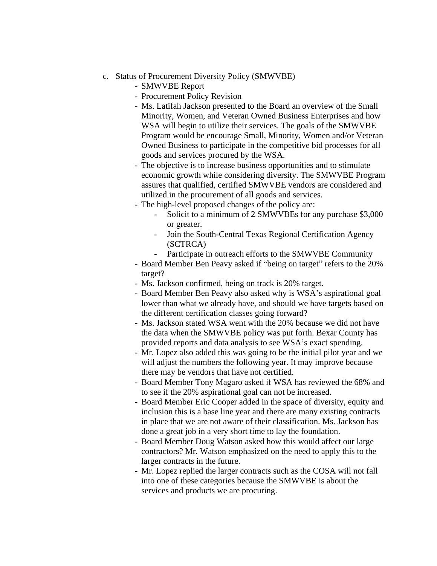- c. Status of Procurement Diversity Policy (SMWVBE)
	- SMWVBE Report
	- Procurement Policy Revision
	- Ms. Latifah Jackson presented to the Board an overview of the Small Minority, Women, and Veteran Owned Business Enterprises and how WSA will begin to utilize their services. The goals of the SMWVBE Program would be encourage Small, Minority, Women and/or Veteran Owned Business to participate in the competitive bid processes for all goods and services procured by the WSA.
	- The objective is to increase business opportunities and to stimulate economic growth while considering diversity. The SMWVBE Program assures that qualified, certified SMWVBE vendors are considered and utilized in the procurement of all goods and services.
	- The high-level proposed changes of the policy are:
		- Solicit to a minimum of 2 SMWVBEs for any purchase \$3,000 or greater.
		- Join the South-Central Texas Regional Certification Agency (SCTRCA)
		- Participate in outreach efforts to the SMWVBE Community
	- Board Member Ben Peavy asked if "being on target" refers to the 20% target?
	- Ms. Jackson confirmed, being on track is 20% target.
	- Board Member Ben Peavy also asked why is WSA's aspirational goal lower than what we already have, and should we have targets based on the different certification classes going forward?
	- Ms. Jackson stated WSA went with the 20% because we did not have the data when the SMWVBE policy was put forth. Bexar County has provided reports and data analysis to see WSA's exact spending.
	- Mr. Lopez also added this was going to be the initial pilot year and we will adjust the numbers the following year. It may improve because there may be vendors that have not certified.
	- Board Member Tony Magaro asked if WSA has reviewed the 68% and to see if the 20% aspirational goal can not be increased.
	- Board Member Eric Cooper added in the space of diversity, equity and inclusion this is a base line year and there are many existing contracts in place that we are not aware of their classification. Ms. Jackson has done a great job in a very short time to lay the foundation.
	- Board Member Doug Watson asked how this would affect our large contractors? Mr. Watson emphasized on the need to apply this to the larger contracts in the future.
	- Mr. Lopez replied the larger contracts such as the COSA will not fall into one of these categories because the SMWVBE is about the services and products we are procuring.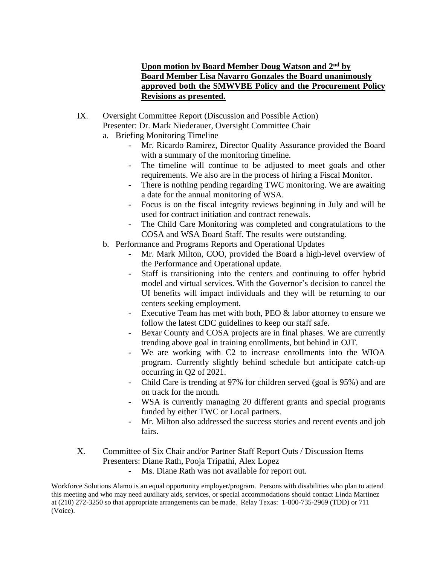## **Upon motion by Board Member Doug Watson and 2nd by Board Member Lisa Navarro Gonzales the Board unanimously approved both the SMWVBE Policy and the Procurement Policy Revisions as presented.**

- IX. Oversight Committee Report (Discussion and Possible Action) Presenter: Dr. Mark Niederauer, Oversight Committee Chair
	- a. Briefing Monitoring Timeline
		- Mr. Ricardo Ramirez, Director Quality Assurance provided the Board with a summary of the monitoring timeline.
		- The timeline will continue to be adjusted to meet goals and other requirements. We also are in the process of hiring a Fiscal Monitor.
		- There is nothing pending regarding TWC monitoring. We are awaiting a date for the annual monitoring of WSA.
		- Focus is on the fiscal integrity reviews beginning in July and will be used for contract initiation and contract renewals.
		- The Child Care Monitoring was completed and congratulations to the COSA and WSA Board Staff. The results were outstanding.
	- b. Performance and Programs Reports and Operational Updates
		- Mr. Mark Milton, COO, provided the Board a high-level overview of the Performance and Operational update.
		- Staff is transitioning into the centers and continuing to offer hybrid model and virtual services. With the Governor's decision to cancel the UI benefits will impact individuals and they will be returning to our centers seeking employment.
		- Executive Team has met with both, PEO & labor attorney to ensure we follow the latest CDC guidelines to keep our staff safe.
		- Bexar County and COSA projects are in final phases. We are currently trending above goal in training enrollments, but behind in OJT.
		- We are working with C2 to increase enrollments into the WIOA program. Currently slightly behind schedule but anticipate catch-up occurring in Q2 of 2021.
		- Child Care is trending at 97% for children served (goal is 95%) and are on track for the month.
		- WSA is currently managing 20 different grants and special programs funded by either TWC or Local partners.
		- Mr. Milton also addressed the success stories and recent events and job fairs.
- X. Committee of Six Chair and/or Partner Staff Report Outs / Discussion Items Presenters: Diane Rath, Pooja Tripathi, Alex Lopez
	- Ms. Diane Rath was not available for report out.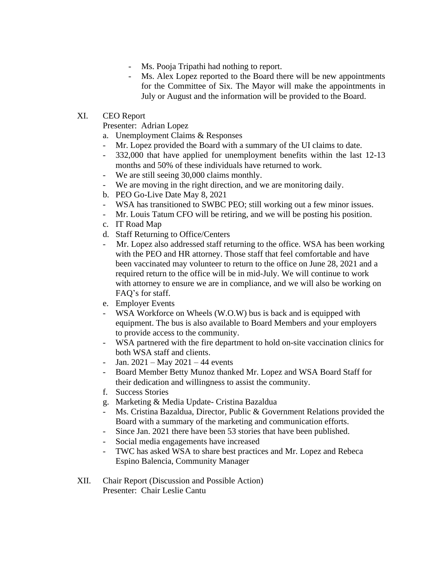- Ms. Pooja Tripathi had nothing to report.
- Ms. Alex Lopez reported to the Board there will be new appointments for the Committee of Six. The Mayor will make the appointments in July or August and the information will be provided to the Board.

#### XI. CEO Report

Presenter: Adrian Lopez

- a. Unemployment Claims & Responses
- Mr. Lopez provided the Board with a summary of the UI claims to date.
- 332,000 that have applied for unemployment benefits within the last 12-13 months and 50% of these individuals have returned to work.
- We are still seeing 30,000 claims monthly.
- We are moving in the right direction, and we are monitoring daily.
- b. PEO Go-Live Date May 8, 2021
- WSA has transitioned to SWBC PEO; still working out a few minor issues.
- Mr. Louis Tatum CFO will be retiring, and we will be posting his position.
- c. IT Road Map
- d. Staff Returning to Office/Centers
- Mr. Lopez also addressed staff returning to the office. WSA has been working with the PEO and HR attorney. Those staff that feel comfortable and have been vaccinated may volunteer to return to the office on June 28, 2021 and a required return to the office will be in mid-July. We will continue to work with attorney to ensure we are in compliance, and we will also be working on FAQ's for staff.
- e. Employer Events
- WSA Workforce on Wheels (W.O.W) bus is back and is equipped with equipment. The bus is also available to Board Members and your employers to provide access to the community.
- WSA partnered with the fire department to hold on-site vaccination clinics for both WSA staff and clients.
- Jan.  $2021 \text{May } 2021 44$  events
- Board Member Betty Munoz thanked Mr. Lopez and WSA Board Staff for their dedication and willingness to assist the community.
- f. Success Stories
- g. Marketing & Media Update- Cristina Bazaldua
- Ms. Cristina Bazaldua, Director, Public & Government Relations provided the Board with a summary of the marketing and communication efforts.
- Since Jan. 2021 there have been 53 stories that have been published.
- Social media engagements have increased
- TWC has asked WSA to share best practices and Mr. Lopez and Rebeca Espino Balencia, Community Manager
- XII. Chair Report (Discussion and Possible Action) Presenter: Chair Leslie Cantu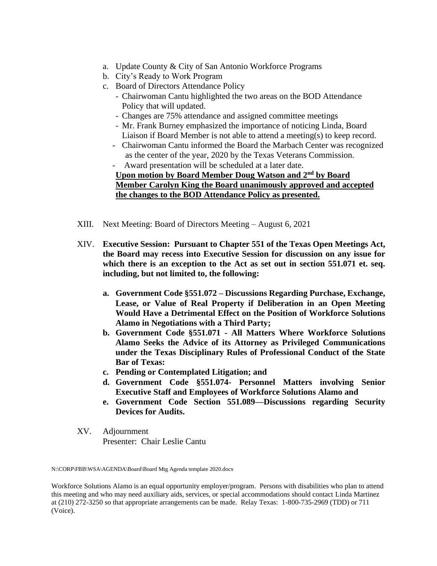- a. Update County & City of San Antonio Workforce Programs
- b. City's Ready to Work Program
- c. Board of Directors Attendance Policy
	- Chairwoman Cantu highlighted the two areas on the BOD Attendance Policy that will updated.
	- Changes are 75% attendance and assigned committee meetings
	- Mr. Frank Burney emphasized the importance of noticing Linda, Board Liaison if Board Member is not able to attend a meeting(s) to keep record.
	- Chairwoman Cantu informed the Board the Marbach Center was recognized as the center of the year, 2020 by the Texas Veterans Commission. Award presentation will be scheduled at a later date.

# **Upon motion by Board Member Doug Watson and 2nd by Board Member Carolyn King the Board unanimously approved and accepted the changes to the BOD Attendance Policy as presented.**

- XIII. Next Meeting: Board of Directors Meeting August 6, 2021
- XIV. **Executive Session: Pursuant to Chapter 551 of the Texas Open Meetings Act, the Board may recess into Executive Session for discussion on any issue for which there is an exception to the Act as set out in section 551.071 et. seq. including, but not limited to, the following:** 
	- **a. Government Code §551.072 – Discussions Regarding Purchase, Exchange, Lease, or Value of Real Property if Deliberation in an Open Meeting Would Have a Detrimental Effect on the Position of Workforce Solutions Alamo in Negotiations with a Third Party;**
	- **b. Government Code §551.071 - All Matters Where Workforce Solutions Alamo Seeks the Advice of its Attorney as Privileged Communications under the Texas Disciplinary Rules of Professional Conduct of the State Bar of Texas:**
	- **c. Pending or Contemplated Litigation; and**
	- **d. Government Code §551.074- Personnel Matters involving Senior Executive Staff and Employees of Workforce Solutions Alamo and**
	- **e. Government Code Section 551.089—Discussions regarding Security Devices for Audits.**
- XV. Adjournment Presenter: Chair Leslie Cantu

N:\CORP\FBB\WSA\AGENDA\Board\Board Mtg Agenda template 2020.docx